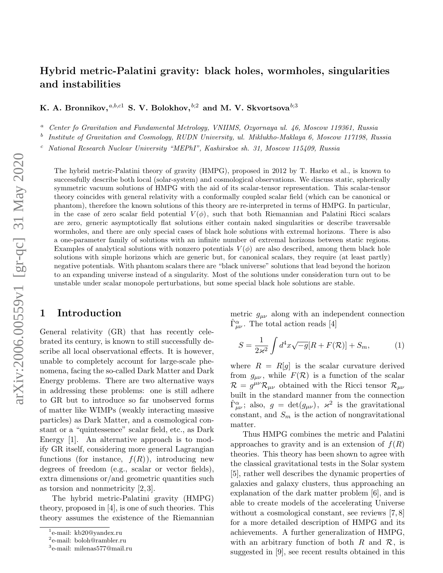# Hybrid metric-Palatini gravity: black holes, wormholes, singularities and instabilities

K. A. Bronnikov,  $a,b,c1$  S. V. Bolokhov,  $b,2$  and M. V. Skvortsova  $b,3$ 

<sup>a</sup> Center fo Gravitation and Fundamental Metrology, VNIIMS, Ozyornaya ul. 46, Moscow 119361, Russia

b Institute of Gravitation and Cosmology, RUDN University, ul. Miklukho-Maklaya 6, Moscow 117198, Russia

<sup>c</sup> National Research Nuclear University "MEPhI", Kashirskoe sh. 31, Moscow 115409, Russia

The hybrid metric-Palatini theory of gravity (HMPG), proposed in 2012 by T. Harko et al., is known to successfully describe both local (solar-system) and cosmological observations. We discuss static, spherically symmetric vacuum solutions of HMPG with the aid of its scalar-tensor representation. This scalar-tensor theory coincides with general relativity with a conformally coupled scalar field (which can be canonical or phantom), therefore the known solutions of this theory are re-interpreted in terms of HMPG. In particular, in the case of zero scalar field potential  $V(\phi)$ , such that both Riemannian and Palatini Ricci scalars are zero, generic asymptotically flat solutions either contain naked singularities or describe traversable wormholes, and there are only special cases of black hole solutions with extremal horizons. There is also a one-parameter family of solutions with an infinite number of extremal horizons between static regions. Examples of analytical solutions with nonzero potentials  $V(\phi)$  are also described, among them black hole solutions with simple horizons which are generic but, for canonical scalars, they require (at least partly) negative potentials. With phantom scalars there are "black universe" solutions that lead beyond the horizon to an expanding universe instead of a singularity. Most of the solutions under consideration turn out to be unstable under scalar monopole perturbations, but some special black hole solutions are stable.

## 1 Introduction

General relativity (GR) that has recently celebrated its century, is known to still successfully describe all local observational effects. It is however, unable to completely account for large-scale phenomena, facing the so-called Dark Matter and Dark Energy problems. There are two alternative ways in addressing these problems: one is still adhere to GR but to introduce so far unobserved forms of matter like WIMPs (weakly interacting massive particles) as Dark Matter, and a cosmological constant or a "quintessence" scalar field, etc., as Dark Energy [1]. An alternative approach is to modify GR itself, considering more general Lagrangian functions (for instance,  $f(R)$ ), introducing new degrees of freedom (e.g., scalar or vector fields), extra dimensions or/and geometric quantities such as torsion and nonmetricity [2, 3].

The hybrid metric-Palatini gravity (HMPG) theory, proposed in [4], is one of such theories. This theory assumes the existence of the Riemannian

metric  $g_{\mu\nu}$  along with an independent connection  $\hat{\Gamma}^{\alpha}_{\mu\nu}$ . The total action reads [4]

$$
S = \frac{1}{2\kappa^2} \int d^4x \sqrt{-g} [R + F(\mathcal{R})] + S_m,
$$
 (1)

where  $R = R[g]$  is the scalar curvature derived from  $g_{\mu\nu}$ , while  $F(\mathcal{R})$  is a function of the scalar  $\mathcal{R} = g^{\mu\nu} \mathcal{R}_{\mu\nu}$  obtained with the Ricci tensor  $\mathcal{R}_{\mu\nu}$ built in the standard manner from the connection  $\hat{\Gamma}^{\alpha}_{\mu\nu}$ ; also,  $g = det(g_{\mu\nu}), \; \varkappa^2$  is the gravitational constant, and  $S_m$  is the action of nongravitational matter.

Thus HMPG combines the metric and Palatini approaches to gravity and is an extension of  $f(R)$ theories. This theory has been shown to agree with the classical gravitational tests in the Solar system [5], rather well describes the dynamic properties of galaxies and galaxy clusters, thus approaching an explanation of the dark matter problem [6], and is able to create models of the accelerating Universe without a cosmological constant, see reviews [7,8] for a more detailed description of HMPG and its achievements. A further generalization of HMPG, with an arbitrary function of both R and R, is suggested in [9], see recent results obtained in this

<sup>&</sup>lt;sup>1</sup>e-mail: kb20@yandex.ru

<sup>2</sup> e-mail: boloh@rambler.ru

<sup>3</sup> e-mail: milenas577@mail.ru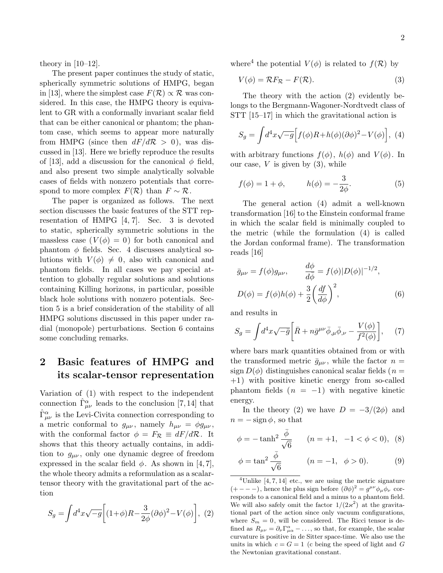theory in  $[10-12]$ .

The present paper continues the study of static, spherically symmetric solutions of HMPG, began in [13], where the simplest case  $F(\mathcal{R}) \propto \mathcal{R}$  was considered. In this case, the HMPG theory is equivalent to GR with a conformally invariant scalar field that can be either canonical or phantom; the phantom case, which seems to appear more naturally from HMPG (since then  $dF/d\mathcal{R} > 0$ ), was discussed in [13]. Here we briefly reproduce the results of [13], add a discussion for the canonical  $\phi$  field, and also present two simple analytically solvable cases of fields with nonzero potentials that correspond to more complex  $F(\mathcal{R})$  than  $F \sim \mathcal{R}$ .

The paper is organized as follows. The next section discusses the basic features of the STT representation of HMPG [4, 7]. Sec. 3 is devoted to static, spherically symmetric solutions in the massless case  $(V(\phi) = 0)$  for both canonical and phantom  $\phi$  fields. Sec. 4 discusses analytical solutions with  $V(\phi) \neq 0$ , also with canonical and phantom fields. In all cases we pay special attention to globally regular solutions and solutions containing Killing horizons, in particular, possible black hole solutions with nonzero potentials. Section 5 is a brief consideration of the stability of all HMPG solutions discussed in this paper under radial (monopole) perturbations. Section 6 contains some concluding remarks.

# 2 Basic features of HMPG and its scalar-tensor representation

Variation of (1) with respect to the independent connection  $\hat{\Gamma}^{\alpha}_{\mu\nu}$  leads to the conclusion [7, 14] that  $\hat{\Gamma}^{\alpha}_{\mu\nu}$  is the Levi-Civita connection corresponding to a metric conformal to  $g_{\mu\nu}$ , namely  $h_{\mu\nu} = \phi g_{\mu\nu}$ , with the conformal factor  $\phi = F_{\mathcal{R}} \equiv dF/d\mathcal{R}$ . It shows that this theory actually contains, in addition to  $g_{\mu\nu}$ , only one dynamic degree of freedom expressed in the scalar field  $\phi$ . As shown in [4, 7], the whole theory admits a reformulation as a scalartensor theory with the gravitational part of the action

$$
S_g = \int d^4x \sqrt{-g} \left[ (1+\phi)R - \frac{3}{2\phi} (\partial \phi)^2 - V(\phi) \right], \tag{2}
$$

where<sup>4</sup> the potential  $V(\phi)$  is related to  $f(\mathcal{R})$  by

$$
V(\phi) = \mathcal{R}F_{\mathcal{R}} - F(\mathcal{R}).
$$
\n(3)

The theory with the action (2) evidently belongs to the Bergmann-Wagoner-Nordtvedt class of STT [15–17] in which the gravitational action is

$$
S_g = \int d^4x \sqrt{-g} \Big[ f(\phi)R + h(\phi)(\partial \phi)^2 - V(\phi) \Big], \tag{4}
$$

with arbitrary functions  $f(\phi)$ ,  $h(\phi)$  and  $V(\phi)$ . In our case,  $V$  is given by  $(3)$ , while

$$
f(\phi) = 1 + \phi,
$$
  $h(\phi) = -\frac{3}{2\phi}.$  (5)

The general action (4) admit a well-known transformation [16] to the Einstein conformal frame in which the scalar field is minimally coupled to the metric (while the formulation (4) is called the Jordan conformal frame). The transformation reads [16]

$$
\bar{g}_{\mu\nu} = f(\phi)g_{\mu\nu}, \qquad \frac{d\phi}{d\bar{\phi}} = f(\phi)|D(\phi)|^{-1/2},
$$

$$
D(\phi) = f(\phi)h(\phi) + \frac{3}{2}\left(\frac{df}{d\phi}\right)^2, \tag{6}
$$

and results in

$$
S_g = \int d^4x \sqrt{-\bar{g}} \left[ \bar{R} + n\bar{g}^{\mu\nu}\bar{\phi}_{,\mu}\bar{\phi}_{,\nu} - \frac{V(\phi)}{f^2(\phi)} \right], \quad (7)
$$

where bars mark quantities obtained from or with the transformed metric  $\bar{g}_{\mu\nu}$ , while the factor  $n =$ sign  $D(\phi)$  distinguishes canonical scalar fields (*n* = +1) with positive kinetic energy from so-called phantom fields  $(n = -1)$  with negative kinetic energy.

In the theory (2) we have  $D = -3/(2\phi)$  and  $n = -\operatorname{sign}\phi$ , so that

$$
\phi = -\tanh^2 \frac{\bar{\phi}}{\sqrt{6}} \qquad (n = +1, -1 < \phi < 0), (8)
$$

$$
\phi = \tan^2 \frac{\bar{\phi}}{\sqrt{6}}
$$
 \t(*n* = -1,  $\phi > 0$ ). (9)

<sup>4</sup>Unlike  $[4, 7, 14]$  etc., we are using the metric signature  $(+---),$  hence the plus sign before  $(\partial \phi)^2 = g^{\mu\nu}\phi_{\mu}\phi_{\nu}$  corresponds to a canonical field and a minus to a phantom field. We will also safely omit the factor  $1/(2\kappa^2)$  at the gravitational part of the action since only vacuum configurations, where  $S_m = 0$ , will be considered. The Ricci tensor is defined as  $R_{\mu\nu} = \partial_{\nu} \Gamma^{\alpha}_{\mu\alpha} - \dots$ , so that, for example, the scalar curvature is positive in de Sitter space-time. We also use the units in which  $c = G = 1$  (c being the speed of light and G the Newtonian gravitational constant.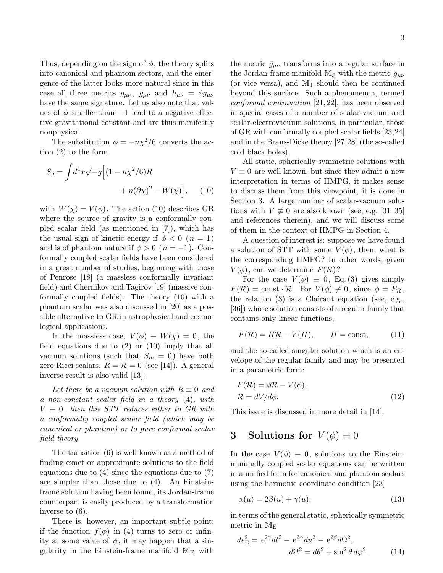Thus, depending on the sign of  $\phi$ , the theory splits into canonical and phantom sectors, and the emergence of the latter looks more natural since in this case all three metrics  $g_{\mu\nu}$ ,  $\bar{g}_{\mu\nu}$  and  $h_{\mu\nu} = \phi g_{\mu\nu}$ have the same signature. Let us also note that values of  $\phi$  smaller than −1 lead to a negative effective gravitational constant and are thus manifestly nonphysical.

The substitution  $\phi = -n\chi^2/6$  converts the action (2) to the form

$$
S_g = \int d^4x \sqrt{-g} \Big[ (1 - n\chi^2/6)R + n(\partial\chi)^2 - W(\chi) \Big], \quad (10)
$$

with  $W(\chi) = V(\phi)$ . The action (10) describes GR where the source of gravity is a conformally coupled scalar field (as mentioned in [7]), which has the usual sign of kinetic energy if  $\phi < 0$  ( $n = 1$ ) and is of phantom nature if  $\phi > 0$  ( $n = -1$ ). Conformally coupled scalar fields have been considered in a great number of studies, beginning with those of Penrose [18] (a massless conformally invariant field) and Chernikov and Tagirov [19] (massive conformally coupled fields). The theory (10) with a phantom scalar was also discussed in [20] as a possible alternative to GR in astrophysical and cosmological applications.

In the massless case,  $V(\phi) \equiv W(\chi) = 0$ , the field equations due to (2) or (10) imply that all vacuum solutions (such that  $S_m = 0$ ) have both zero Ricci scalars,  $R = \mathcal{R} = 0$  (see [14]). A general inverse result is also valid [13]:

Let there be a vacuum solution with  $R \equiv 0$  and a non-constant scalar field in a theory (4), with  $V \equiv 0$ , then this STT reduces either to GR with a conformally coupled scalar field (which may be canonical or phantom) or to pure conformal scalar field theory.

The transition (6) is well known as a method of finding exact or approximate solutions to the field equations due to (4) since the equations due to (7) are simpler than those due to (4). An Einsteinframe solution having been found, its Jordan-frame counterpart is easily produced by a transformation inverse to (6).

There is, however, an important subtle point: if the function  $f(\phi)$  in (4) turns to zero or infinity at some value of  $\phi$ , it may happen that a singularity in the Einstein-frame manifold  $M_E$  with the metric  $\bar{g}_{\mu\nu}$  transforms into a regular surface in the Jordan-frame manifold  $M_J$  with the metric  $g_{\mu\nu}$ (or vice versa), and  $M_J$  should then be continued beyond this surface. Such a phenomenon, termed conformal continuation [21, 22], has been observed in special cases of a number of scalar-vacuum and scalar-electrovacuum solutions, in particular, those of GR with conformally coupled scalar fields [23,24] and in the Brans-Dicke theory [27,28] (the so-called cold black holes).

All static, spherically symmetric solutions with  $V \equiv 0$  are well known, but since they admit a new interpretation in terms of HMPG, it makes sense to discuss them from this viewpoint, it is done in Section 3. A large number of scalar-vacuum solutions with  $V \neq 0$  are also known (see, e.g. [31–35] and references therein), and we will discuss some of them in the context of HMPG in Section 4.

A question of interest is: suppose we have found a solution of STT with some  $V(\phi)$ , then, what is the corresponding HMPG? In other words, given  $V(\phi)$ , can we determine  $F(\mathcal{R})$ ?

For the case  $V(\phi) \equiv 0$ , Eq. (3) gives simply  $F(\mathcal{R}) = \text{const} \cdot \mathcal{R}$ . For  $V(\phi) \not\equiv 0$ , since  $\phi = F_{\mathcal{R}}$ , the relation (3) is a Clairaut equation (see, e.g., [36]) whose solution consists of a regular family that contains only linear functions,

$$
F(\mathcal{R}) = H\mathcal{R} - V(H), \qquad H = \text{const}, \tag{11}
$$

and the so-called singular solution which is an envelope of the regular family and may be presented in a parametric form:

$$
F(\mathcal{R}) = \phi \mathcal{R} - V(\phi),
$$
  
\n
$$
\mathcal{R} = dV/d\phi.
$$
 (12)

This issue is discussed in more detail in [14].

# 3 Solutions for  $V(\phi) \equiv 0$

In the case  $V(\phi) \equiv 0$ , solutions to the Einsteinminimally coupled scalar equations can be written in a unified form for canonical and phantom scalars using the harmonic coordinate condition [23]

$$
\alpha(u) = 2\beta(u) + \gamma(u),\tag{13}
$$

in terms of the general static, spherically symmetric metric in  $M<sub>E</sub>$ 

$$
ds_{\rm E}^2 = e^{2\gamma}dt^2 - e^{2\alpha}du^2 - e^{2\beta}d\Omega^2,
$$
  

$$
d\Omega^2 = d\theta^2 + \sin^2\theta \, d\varphi^2.
$$
 (14)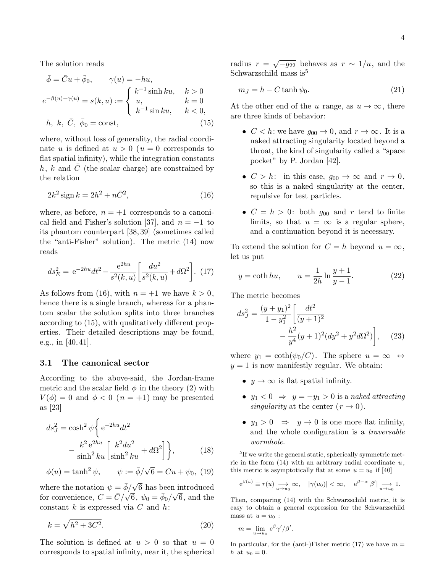The solution reads

$$
\bar{\phi} = \bar{C}u + \bar{\phi}_0, \qquad \gamma(u) = -hu,
$$
  
\n
$$
e^{-\beta(u) - \gamma(u)} = s(k, u) := \begin{cases} k^{-1} \sinh ku, & k > 0 \\ u, & k = 0 \\ k^{-1} \sin ku, & k < 0, \end{cases}
$$
  
\n
$$
h, k, \bar{C}, \bar{\phi}_0 = \text{const}, \qquad (15)
$$

where, without loss of generality, the radial coordinate u is defined at  $u > 0$  ( $u = 0$  corresponds to flat spatial infinity), while the integration constants  $h, k$  and  $C$  (the scalar charge) are constrained by the relation

$$
2k^2 \operatorname{sign} k = 2h^2 + n\overline{C}^2,\tag{16}
$$

where, as before,  $n = +1$  corresponds to a canonical field and Fisher's solution [37], and  $n = -1$  to its phantom counterpart [38, 39] (sometimes called the "anti-Fisher" solution). The metric (14) now reads

$$
ds_E^2 = e^{-2hu}dt^2 - \frac{e^{2hu}}{s^2(k, u)} \left[ \frac{du^2}{s^2(k, u)} + d\Omega^2 \right].
$$
 (17)

As follows from (16), with  $n = +1$  we have  $k > 0$ , hence there is a single branch, whereas for a phantom scalar the solution splits into three branches according to (15), with qualitatively different properties. Their detailed descriptions may be found, e.g., in [40, 41].

#### 3.1 The canonical sector

According to the above-said, the Jordan-frame metric and the scalar field  $\phi$  in the theory (2) with  $V(\phi) = 0$  and  $\phi < 0$   $(n = +1)$  may be presented as [23]

$$
ds_J^2 = \cosh^2 \psi \left\{ e^{-2hu} dt^2 - \frac{k^2 e^{2hu}}{\sinh^2 ku} \left[ \frac{k^2 du^2}{\sinh^2 ku} + d\Omega^2 \right] \right\},\tag{18}
$$

$$
\phi(u) = \tanh^2 \psi, \qquad \psi := \bar{\phi}/\sqrt{6} = Cu + \psi_0, (19)
$$

where the notation  $\psi = \bar{\phi}/\sqrt{ }$  $\phi/\sqrt{6}$  has been introduced for convenience,  $C = \overline{C}/\sqrt{6}$ ,  $\psi_0 = \overline{\phi}_0/\sqrt{6}$ , and the constant  $k$  is expressed via  $C$  and  $h$ :

$$
k = \sqrt{h^2 + 3C^2}.\tag{20}
$$

The solution is defined at  $u > 0$  so that  $u = 0$ corresponds to spatial infinity, near it, the spherical

radius  $r = \sqrt{-g_{22}}$  behaves as  $r \sim 1/u$ , and the Schwarzschild mass is<sup>5</sup>

$$
m_J = h - C \tanh \psi_0. \tag{21}
$$

At the other end of the u range, as  $u \to \infty$ , there are three kinds of behavior:

- $C < h$ : we have  $g_{00} \to 0$ , and  $r \to \infty$ . It is a naked attracting singularity located beyond a throat, the kind of singularity called a "space pocket" by P. Jordan [42].
- $C > h$ : in this case,  $g_{00} \to \infty$  and  $r \to 0$ , so this is a naked singularity at the center, repulsive for test particles.
- $C = h > 0$ : both  $g_{00}$  and r tend to finite limits, so that  $u = \infty$  is a regular sphere, and a continuation beyond it is necessary.

To extend the solution for  $C = h$  beyond  $u = \infty$ , let us put

$$
y = \coth hu,
$$
  $u = \frac{1}{2h} \ln \frac{y+1}{y-1}.$  (22)

The metric becomes

$$
ds_J^2 = \frac{(y+y_1)^2}{1-y_1^2} \left[ \frac{dt^2}{(y+1)^2} - \frac{h^2}{y^4} (y+1)^2 (dy^2 + y^2 d\Omega^2) \right],
$$
 (23)

where  $y_1 = \coth(\psi_0/C)$ . The sphere  $u = \infty \leftrightarrow$  $y = 1$  is now manifestly regular. We obtain:

- $y \to \infty$  is flat spatial infinity.
- $y_1 < 0 \Rightarrow y = -y_1 > 0$  is a naked attracting singularity at the center  $(r \to 0)$ .
- $y_1 > 0 \Rightarrow y \to 0$  is one more flat infinity, and the whole configuration is a traversable wormhole.

<sup>5</sup>If we write the general static, spherically symmetric metric in the form  $(14)$  with an arbitrary radial coordinate u, this metric is asymptotically flat at some  $u = u_0$  if [40]

$$
e^{\beta(u)} \equiv r(u) \underset{u \to u_0}{\longrightarrow} \infty
$$
,  $|\gamma(u_0)| < \infty$ ,  $e^{\beta - \alpha} |\beta'| \underset{u \to u_0}{\longrightarrow} 1$ .

Then, comparing (14) with the Schwarzschild metric, it is easy to obtain a general expression for the Schwarzschild mass at  $u = u_0$ :

$$
m=\lim_{u\to u_0} \, {\rm e}^{\beta} \gamma'/\beta'.
$$

In particular, for the (anti-)Fisher metric (17) we have  $m =$ h at  $u_0 = 0$ .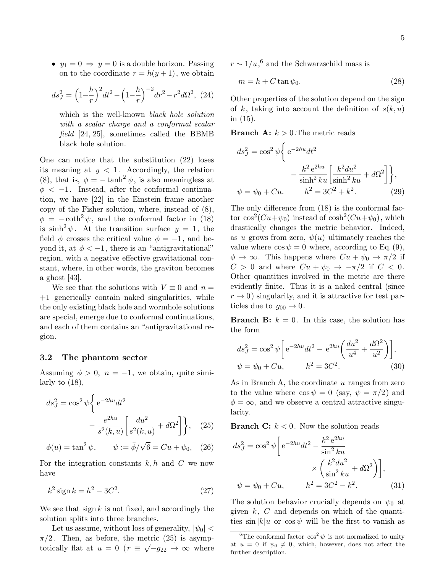•  $y_1 = 0 \Rightarrow y = 0$  is a double horizon. Passing on to the coordinate  $r = h(y + 1)$ , we obtain

$$
ds_J^2 = \left(1 - \frac{h}{r}\right)^2 dt^2 - \left(1 - \frac{h}{r}\right)^{-2} dr^2 - r^2 d\Omega^2, (24)
$$

which is the well-known black hole solution with a scalar charge and a conformal scalar field [24, 25], sometimes called the BBMB black hole solution.

One can notice that the substitution (22) loses its meaning at  $y < 1$ . Accordingly, the relation (8), that is,  $\phi = -\tanh^2 \psi$ , is also meaningless at  $\phi$  < -1. Instead, after the conformal continuation, we have [22] in the Einstein frame another copy of the Fisher solution, where, instead of (8),  $\phi = -\coth^2 \psi$ , and the conformal factor in (18) is  $\sinh^2 \psi$ . At the transition surface  $y = 1$ , the field  $\phi$  crosses the critical value  $\phi = -1$ , and beyond it, at  $\phi < -1$ , there is an "antigravitational" region, with a negative effective gravitational constant, where, in other words, the graviton becomes a ghost [43].

We see that the solutions with  $V \equiv 0$  and  $n =$ +1 generically contain naked singularities, while the only existing black hole and wormhole solutions are special, emerge due to conformal continuations, and each of them contains an "antigravitational region.

#### 3.2 The phantom sector

Assuming  $\phi > 0$ ,  $n = -1$ , we obtain, quite similarly to (18),

$$
ds_J^2 = \cos^2 \psi \left\{ e^{-2hu} dt^2 - \frac{e^{2hu}}{s^2(k, u)} \left[ \frac{du^2}{s^2(k, u)} + d\Omega^2 \right] \right\}, \quad (25)
$$

$$
\phi(u) = \tan^2 \psi, \qquad \psi := \bar{\phi}/\sqrt{6} = Cu + \psi_0, \quad (26)
$$

For the integration constants  $k, h$  and C we now have

$$
k^2 \text{ sign } k = h^2 - 3C^2. \tag{27}
$$

We see that sign  $k$  is not fixed, and accordingly the solution splits into three branches.

Let us assume, without loss of generality,  $|\psi_0|$  <  $\pi/2$ . Then, as before, the metric (25) is asymptotically flat at  $u = 0$  ( $r \equiv \sqrt{-g_{22}} \rightarrow \infty$  where  $r \sim 1/u$ ,<sup>6</sup> and the Schwarzschild mass is

$$
m = h + C \tan \psi_0. \tag{28}
$$

Other properties of the solution depend on the sign of k, taking into account the definition of  $s(k, u)$ in (15).

**Branch A:**  $k > 0$ . The metric reads

$$
ds_{J}^{2} = \cos^{2} \psi \left\{ e^{-2hu} dt^{2} - \frac{k^{2} e^{2hu}}{\sinh^{2} ku} \left[ \frac{k^{2} du^{2}}{\sinh^{2} ku} + d\Omega^{2} \right] \right\},
$$
  

$$
\psi = \psi_{0} + Cu. \qquad h^{2} = 3C^{2} + k^{2}. \qquad (29)
$$

The only difference from (18) is the conformal factor  $\cos^2(Cu+\psi_0)$  instead of  $\cosh^2(Cu+\psi_0)$ , which drastically changes the metric behavior. Indeed, as u grows from zero,  $\psi(u)$  ultimately reaches the value where  $\cos \psi = 0$  where, according to Eq. (9),  $\phi \to \infty$ . This happens where  $Cu + \psi_0 \to \pi/2$  if  $C > 0$  and where  $Cu + \psi_0 \rightarrow -\pi/2$  if  $C < 0$ . Other quantities involved in the metric are there evidently finite. Thus it is a naked central (since  $r \to 0$ ) singularity, and it is attractive for test particles due to  $g_{00} \rightarrow 0$ .

**Branch B:**  $k = 0$ . In this case, the solution has the form

$$
ds_J^2 = \cos^2 \psi \left[ e^{-2hu} dt^2 - e^{2hu} \left( \frac{du^2}{u^4} + \frac{d\Omega^2}{u^2} \right) \right],
$$
  

$$
\psi = \psi_0 + Cu, \qquad h^2 = 3C^2.
$$
 (30)

As in Branch A, the coordinate u ranges from zero to the value where  $\cos \psi = 0$  (say,  $\psi = \pi/2$ ) and  $\phi = \infty$ , and we observe a central attractive singularity.

**Branch C:**  $k < 0$ . Now the solution reads

$$
ds_J^2 = \cos^2 \psi \left[ e^{-2hu} dt^2 - \frac{k^2 e^{2hu}}{\sin^2 ku} \times \left( \frac{k^2 du^2}{\sin^2 ku} + d\Omega^2 \right) \right],
$$
  

$$
\psi = \psi_0 + Cu, \qquad h^2 = 3C^2 - k^2.
$$
 (31)

The solution behavior crucially depends on  $\psi_0$  at given  $k, C$  and depends on which of the quantities  $\sin |k|u$  or  $\cos \psi$  will be the first to vanish as

<sup>&</sup>lt;sup>6</sup>The conformal factor  $\cos^2 \psi$  is not normalized to unity at  $u = 0$  if  $\psi_0 \neq 0$ , which, however, does not affect the further description.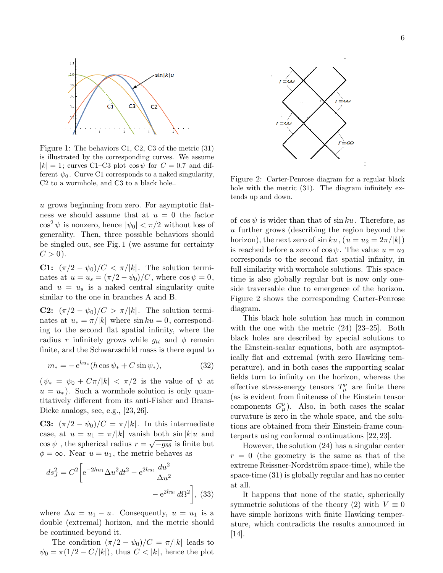

Figure 1: The behaviors C1, C2, C3 of the metric (31) is illustrated by the corresponding curves. We assume  $|k| = 1$ ; curves C1–C3 plot cos  $\psi$  for  $C = 0.7$  and different  $\psi_0$ . Curve C1 corresponds to a naked singularity, C2 to a wormhole, and C3 to a black hole..

u grows beginning from zero. For asymptotic flatness we should assume that at  $u = 0$  the factor  $\cos^2 \psi$  is nonzero, hence  $|\psi_0| < \pi/2$  without loss of generality. Then, three possible behaviors should be singled out, see Fig. 1 (we assume for certainty  $C > 0$ ).

C1:  $(\pi/2 - \psi_0)/C < \pi/|k|$ . The solution terminates at  $u = u_s = (\pi/2 - \psi_0)/C$ , where  $\cos \psi = 0$ , and  $u = u_s$  is a naked central singularity quite similar to the one in branches A and B.

**C2:**  $(\pi/2 - \psi_0)/C > \pi/|k|$ . The solution terminates at  $u_* = \pi/|k|$  where  $\sin ku = 0$ , corresponding to the second flat spatial infinity, where the radius r infinitely grows while  $g_{tt}$  and  $\phi$  remain finite, and the Schwarzschild mass is there equal to

$$
m_* = -e^{hu_*}(h\cos\psi_* + C\sin\psi_*),
$$
 (32)

 $(\psi_* = \psi_0 + C\pi/|k| < \pi/2$  is the value of  $\psi$  at  $u = u_*$ ). Such a wormhole solution is only quantitatively different from its anti-Fisher and Brans-Dicke analogs, see, e.g., [23, 26].

**C3:**  $(\pi/2 - \psi_0)/C = \pi/|k|$ . In this intermediate case, at  $u = u_1 = \pi/|k|$  vanish both  $\sin |k|u$  and  $\cos \psi$ , the spherical radius  $r = \sqrt{-g_{\theta\theta}}$  is finite but  $\phi = \infty$ . Near  $u = u_1$ , the metric behaves as

$$
ds_J^2 = C^2 \left[ e^{-2hu_1} \Delta u^2 dt^2 - e^{2hu_1} \frac{du^2}{\Delta u^2} - e^{2hu_1} d\Omega^2 \right],
$$
 (33)

where  $\Delta u = u_1 - u$ . Consequently,  $u = u_1$  is a double (extremal) horizon, and the metric should be continued beyond it.

The condition  $(\pi/2 - \psi_0)/C = \pi/|k|$  leads to  $\psi_0 = \pi(1/2 - C/|k|)$ , thus  $C < |k|$ , hence the plot



Figure 2: Carter-Penrose diagram for a regular black hole with the metric  $(31)$ . The diagram infinitely extends up and down.

:

of  $\cos \psi$  is wider than that of  $\sin ku$ . Therefore, as u further grows (describing the region beyond the horizon), the next zero of  $\sin ku$ ,  $(u = u_2 = 2\pi/|k|)$ is reached before a zero of  $\cos \psi$ . The value  $u = u_2$ corresponds to the second flat spatial infinity, in full similarity with wormhole solutions. This spacetime is also globally regular but is now only oneside traversable due to emergence of the horizon. Figure 2 shows the corresponding Carter-Penrose diagram.

This black hole solution has much in common with the one with the metric (24) [23–25]. Both black holes are described by special solutions to the Einstein-scalar equations, both are asymptotically flat and extremal (with zero Hawking temperature), and in both cases the supporting scalar fields turn to infinity on the horizon, whereas the effective stress-energy tensors  $T^{\nu}_{\mu}$  are finite there (as is evident from finiteness of the Einstein tensor components  $G^{\nu}_{\mu}$ ). Also, in both cases the scalar curvature is zero in the whole space, and the solutions are obtained from their Einstein-frame counterparts using conformal continuations [22, 23].

However, the solution (24) has a singular center  $r = 0$  (the geometry is the same as that of the extreme Reissner-Nordström space-time), while the space-time (31) is globally regular and has no center at all.

It happens that none of the static, spherically symmetric solutions of the theory (2) with  $V \equiv 0$ have simple horizons with finite Hawking temperature, which contradicts the results announced in [14].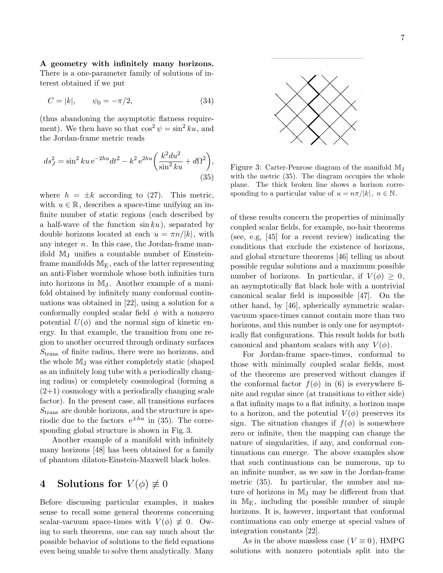A geometry with infinitely many horizons. There is a one-parameter family of solutions of interest obtained if we put

$$
C = |k|, \qquad \psi_0 = -\pi/2,\tag{34}
$$

(thus abandoning the asymptotic flatness requirement). We then have so that  $\cos^2 \psi = \sin^2 ku$ , and the Jordan-frame metric reads

$$
ds_J^2 = \sin^2 ku \, e^{-2hu} dt^2 - k^2 \, e^{2hu} \bigg( \frac{k^2 du^2}{\sin^2 ku} + d\Omega^2 \bigg),\tag{35}
$$

where  $h = \pm k$  according to (27). This metric, with  $u \in \mathbb{R}$ , describes a space-time unifying an infinite number of static regions (each described by a half-wave of the function  $\sin ku$ , separated by double horizons located at each  $u = \pi n/|k|$ , with any integer  $n$ . In this case, the Jordan-frame manifold M<sup>J</sup> unifies a countable number of Einsteinframe manifolds  $M_E$ , each of the latter representing an anti-Fisher wormhole whose both infinities turn into horizons in  $M_J$ . Another example of a manifold obtained by infinitely many conformal continuations was obtained in [22], using a solution for a conformally coupled scalar field  $\phi$  with a nonzero potential  $U(\phi)$  and the normal sign of kinetic energy. In that example, the transition from one region to another occurred through ordinary surfaces  $S_{trans}$  of finite radius, there were no horizons, and the whole M<sup>J</sup> was either completely static (shaped as an infinitely long tube with a periodically changing radius) or completely cosmological (forming a  $(2+1)$  cosmology with a periodically changing scale factor). In the present case, all transitions surfaces  $S_{trans}$  are double horizons, and the structure is aperiodic due to the factors  $e^{\pm hu}$  in (35). The corresponding global structure is shown in Fig. 3.

Another example of a manifold with infinitely many horizons [48] has been obtained for a family of phantom dilaton-Einstein-Maxwell black holes.

## 4 Solutions for  $V(\phi) \not\equiv 0$

Before discussing particular examples, it makes sense to recall some general theorems concerning scalar-vacuum space-times with  $V(\phi) \neq 0$ . Owing to such theorems, one can say much about the possible behavior of solutions to the field equations even being unable to solve them analytically. Many



Figure 3: Carter-Penrose diagram of the manifold M<sup>J</sup> with the metric  $(35)$ . The diagram occupies the whole plane. The thick broken line shows a horizon corresponding to a particular value of  $u = n\pi/|k|, n \in \mathbb{N}$ .

of these results concern the properties of minimally coupled scalar fields, for example, no-hair theorems (see, e.g, [45] for a recent review) indicating the conditions that exclude the existence of horizons, and global structure theorems [46] telling us about possible regular solutions and a maximum possible number of horizons. In particular, if  $V(\phi) \geq 0$ , an asymptotically flat black hole with a nontrivial canonical scalar field is impossible [47]. On the other hand, by [46], spherically symmetric scalarvacuum space-times cannot contain more than two horizons, and this number is only one for asymptotically flat configurations. This result holds for both canonical and phantom scalars with any  $V(\phi)$ .

For Jordan-frame space-times, conformal to those with minimally coupled scalar fields, most of the theorems are preserved without changes if the conformal factor  $f(\phi)$  in (6) is everywhere finite and regular since (at transitions to either side) a flat infinity maps to a flat infinity, a horizon maps to a horizon, and the potential  $V(\phi)$  preserves its sign. The situation changes if  $f(\phi)$  is somewhere zero or infinite, then the mapping can change the nature of singularities, if any, and conformal continuations can emerge. The above examples show that such continuations can be numerous, up to an infinite number, as we saw in the Jordan-frame metric (35). In particular, the number and nature of horizons in  $M_J$  may be different from that in  $M_E$ , including the possible number of simple horizons. It is, however, important that conformal continuations can only emerge at special values of integration constants [22].

As in the above massless case ( $V \equiv 0$ ), HMPG solutions with nonzero potentials split into the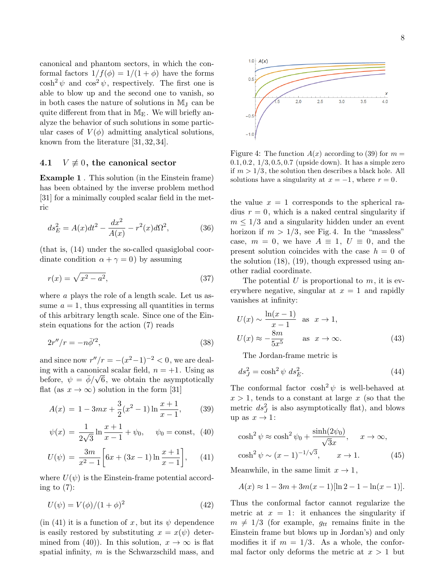canonical and phantom sectors, in which the conformal factors  $1/f(\phi) = 1/(1 + \phi)$  have the forms  $\cosh^2 \psi$  and  $\cos^2 \psi$ , respectively. The first one is able to blow up and the second one to vanish, so in both cases the nature of solutions in  $M_J$  can be quite different from that in  $M_E$ . We will briefly analyze the behavior of such solutions in some particular cases of  $V(\phi)$  admitting analytical solutions, known from the literature [31, 32, 34].

#### 4.1  $V \neq 0$ , the canonical sector

Example 1 . This solution (in the Einstein frame) has been obtained by the inverse problem method [31] for a minimally coupled scalar field in the metric

$$
ds_E^2 = A(x)dt^2 - \frac{dx^2}{A(x)} - r^2(x)d\Omega^2,
$$
 (36)

(that is, (14) under the so-called quasiglobal coordinate condition  $\alpha + \gamma = 0$ ) by assuming

$$
r(x) = \sqrt{x^2 - a^2},\tag{37}
$$

where a plays the role of a length scale. Let us assume  $a = 1$ , thus expressing all quantities in terms of this arbitrary length scale. Since one of the Einstein equations for the action (7) reads

$$
2r''/r = -n\bar{\phi}'^2,\tag{38}
$$

and since now  $r''/r = -(x^2-1)^{-2} < 0$ , we are dealing with a canonical scalar field,  $n = +1$ . Using as before,  $\psi = \bar{\phi}/\sqrt{6}$ , we obtain the asymptotically flat (as  $x \to \infty$ ) solution in the form [31]

$$
A(x) = 1 - 3mx + \frac{3}{2}(x^2 - 1)\ln\frac{x+1}{x-1},
$$
 (39)

$$
\psi(x) = \frac{1}{2\sqrt{3}} \ln \frac{x+1}{x-1} + \psi_0, \quad \psi_0 = \text{const}, \tag{40}
$$

$$
U(\psi) = \frac{3m}{x^2 - 1} \left[ 6x + (3x - 1) \ln \frac{x + 1}{x - 1} \right], \quad (41)
$$

where  $U(\psi)$  is the Einstein-frame potential according to  $(7)$ :

$$
U(\psi) = V(\phi)/(1 + \phi)^2
$$
 (42)

(in (41) it is a function of x, but its  $\psi$  dependence is easily restored by substituting  $x = x(\psi)$  determined from (40)). In this solution,  $x \to \infty$  is flat spatial infinity,  $m$  is the Schwarzschild mass, and



Figure 4: The function  $A(x)$  according to (39) for  $m =$ 0.1, 0.2, 1/3, 0.5, 0.7 (upside down). It has a simple zero if  $m > 1/3$ , the solution then describes a black hole. All solutions have a singularity at  $x = -1$ , where  $r = 0$ .

the value  $x = 1$  corresponds to the spherical radius  $r = 0$ , which is a naked central singularity if  $m \leq 1/3$  and a singularity hidden under an event horizon if  $m > 1/3$ , see Fig. 4. In the "massless" case,  $m = 0$ , we have  $A \equiv 1$ ,  $U \equiv 0$ , and the present solution coincides with the case  $h = 0$  of the solution (18), (19), though expressed using another radial coordinate.

The potential U is proportional to  $m$ , it is everywhere negative, singular at  $x = 1$  and rapidly vanishes at infinity:

$$
U(x) \sim \frac{\ln(x-1)}{x-1} \quad \text{as} \quad x \to 1,
$$
  

$$
U(x) \approx -\frac{8m}{5x^5} \qquad \text{as} \quad x \to \infty.
$$
 (43)

The Jordan-frame metric is

$$
ds_J^2 = \cosh^2 \psi \ ds_E^2. \tag{44}
$$

The conformal factor  $\cosh^2 \psi$  is well-behaved at  $x > 1$ , tends to a constant at large x (so that the metric  $ds_J^2$  is also asymptotically flat), and blows up as  $x \to 1$ :

$$
\cosh^2 \psi \approx \cosh^2 \psi_0 + \frac{\sinh(2\psi_0)}{\sqrt{3}x}, \quad x \to \infty,
$$
  

$$
\cosh^2 \psi \sim (x - 1)^{-1/\sqrt{3}}, \quad x \to 1.
$$
 (45)

Meanwhile, in the same limit  $x \to 1$ ,

$$
A(x) \approx 1 - 3m + 3m(x - 1)[\ln 2 - 1 - \ln(x - 1)].
$$

Thus the conformal factor cannot regularize the metric at  $x = 1$ : it enhances the singularity if  $m \neq 1/3$  (for example,  $g_{tt}$  remains finite in the Einstein frame but blows up in Jordan's) and only modifies it if  $m = 1/3$ . As a whole, the conformal factor only deforms the metric at  $x > 1$  but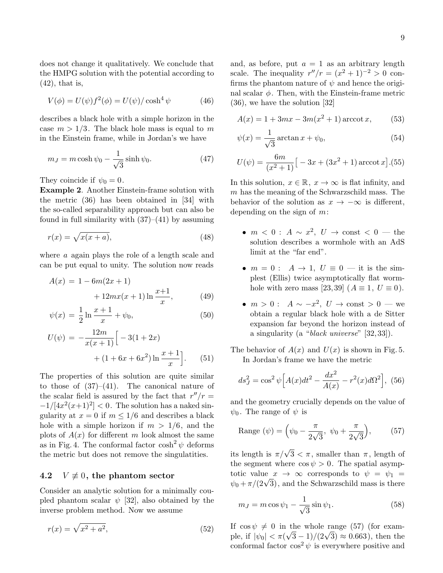does not change it qualitatively. We conclude that the HMPG solution with the potential according to  $(42)$ , that is,

$$
V(\phi) = U(\psi) f^2(\phi) = U(\psi) / \cosh^4 \psi \tag{46}
$$

describes a black hole with a simple horizon in the case  $m > 1/3$ . The black hole mass is equal to m in the Einstein frame, while in Jordan's we have

$$
m_J = m \cosh \psi_0 - \frac{1}{\sqrt{3}} \sinh \psi_0.
$$
 (47)

They coincide if  $\psi_0 = 0$ .

Example 2. Another Einstein-frame solution with the metric (36) has been obtained in [34] with the so-called separability approach but can also be found in full similarity with  $(37)–(41)$  by assuming

$$
r(x) = \sqrt{x(x+a)},\tag{48}
$$

where a again plays the role of a length scale and can be put equal to unity. The solution now reads

$$
A(x) = 1 - 6m(2x + 1) + 12mx(x + 1)\ln\frac{x+1}{x},
$$
 (49)

$$
\psi(x) = \frac{1}{2} \ln \frac{x+1}{x} + \psi_0,\tag{50}
$$

$$
U(\psi) = -\frac{12m}{x(x+1)} \Big[ -3(1+2x) + (1+6x+6x^2) \ln \frac{x+1}{x} \Big].
$$
 (51)

The properties of this solution are quite similar to those of  $(37)–(41)$ . The canonical nature of the scalar field is assured by the fact that  $r''/r =$  $-1/[4x^2(x+1)^2] < 0$ . The solution has a naked singularity at  $x = 0$  if  $m \leq 1/6$  and describes a black hole with a simple horizon if  $m > 1/6$ , and the plots of  $A(x)$  for different m look almost the same as in Fig. 4. The conformal factor  $\cosh^2 \psi$  deforms the metric but does not remove the singulatities.

#### 4.2  $V \neq 0$ , the phantom sector

Consider an analytic solution for a minimally coupled phantom scalar  $\psi$  [32], also obtained by the inverse problem method. Now we assume

$$
r(x) = \sqrt{x^2 + a^2},\tag{52}
$$

and, as before, put  $a = 1$  as an arbitrary length scale. The inequality  $r''/r = (x^2 + 1)^{-2} > 0$  confirms the phantom nature of  $\psi$  and hence the original scalar  $\phi$ . Then, with the Einstein-frame metric (36), we have the solution [32]

$$
A(x) = 1 + 3mx - 3m(x^{2} + 1) \arccot x, \qquad (53)
$$

$$
\psi(x) = \frac{1}{\sqrt{3}} \arctan x + \psi_0,\tag{54}
$$

$$
U(\psi) = \frac{6m}{(x^2+1)} \big[ -3x + (3x^2+1)\arccot x \big].(55)
$$

In this solution,  $x \in \mathbb{R}$ ,  $x \to \infty$  is flat infinity, and  $m$  has the meaning of the Schwarzschild mass. The behavior of the solution as  $x \to -\infty$  is different, depending on the sign of  $m$ :

- $m < 0$ :  $A \sim x^2$ ,  $U \to const < 0$  the solution describes a wormhole with an AdS limit at the "far end".
- $m = 0$ :  $A \rightarrow 1$ ,  $U \equiv 0$  it is the simplest (Ellis) twice asymptotically flat wormhole with zero mass [23, 39]  $(A \equiv 1, U \equiv 0)$ .
- $m > 0$ :  $A \sim -x^2$ ,  $U \to \text{const} > 0$  we obtain a regular black hole with a de Sitter expansion far beyond the horizon instead of a singularity (a "black universe" [32, 33]).
- The behavior of  $A(x)$  and  $U(x)$  is shown in Fig. 5. In Jordan's frame we have the metric

$$
ds_J^2 = \cos^2 \psi \Big[ A(x)dt^2 - \frac{dx^2}{A(x)} - r^2(x)d\Omega^2 \Big], (56)
$$

and the geometry crucially depends on the value of  $\psi_0$ . The range of  $\psi$  is

Range 
$$
(\psi) = \left(\psi_0 - \frac{\pi}{2\sqrt{3}}, \psi_0 + \frac{\pi}{2\sqrt{3}}\right),
$$
 (57)

its length is  $\pi/\sqrt{3} < \pi$ , smaller than  $\pi$ , length of the segment where  $\cos \psi > 0$ . The spatial asymptotic value  $x \to \infty$  corresponds to  $\psi = \psi_1$  = totic value  $x \to \infty$  corresponds to  $\psi = \psi_1 = \psi_0 + \pi/(2\sqrt{3})$ , and the Schwarzschild mass is there

$$
m_J = m\cos\psi_1 - \frac{1}{\sqrt{3}}\sin\psi_1.
$$
\n
$$
(58)
$$

If  $\cos \psi \neq 0$  in the whole range (57) (for examif  $\cos \varphi \neq 0$  in the whole range (37) (for exam-<br>ple, if  $|\psi_0| < \pi(\sqrt{3}-1)/(\sqrt{3}) \approx 0.663$ ), then the conformal factor  $\cos^2 \psi$  is everywhere positive and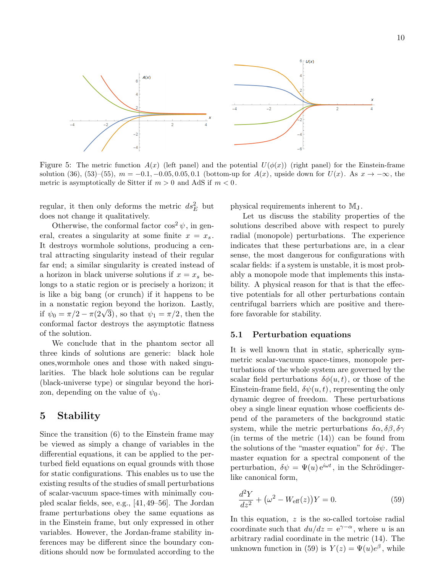

Figure 5: The metric function  $A(x)$  (left panel) and the potential  $U(\phi(x))$  (right panel) for the Einstein-frame solution (36), (53)–(55),  $m = -0.1, -0.05, 0.05, 0.1$  (bottom-up for  $A(x)$ , upside down for  $U(x)$ . As  $x \to -\infty$ , the metric is asymptotically de Sitter if  $m > 0$  and AdS if  $m < 0$ .

regular, it then only deforms the metric  $ds_E^2$  but does not change it qualitatively.

Otherwise, the conformal factor  $\cos^2 \psi$ , in general, creates a singularity at some finite  $x = x_s$ . It destroys wormhole solutions, producing a central attracting singularity instead of their regular far end; a similar singularity is created instead of a horizon in black universe solutions if  $x = x_s$  belongs to a static region or is precisely a horizon; it is like a big bang (or crunch) if it happens to be in a nonstatic region beyond the horizon. Lastly, if  $\psi_0 = \pi/2 - \pi(2\sqrt{3})$ , so that  $\psi_1 = \pi/2$ , then the conformal factor destroys the asymptotic flatness of the solution.

We conclude that in the phantom sector all three kinds of solutions are generic: black hole ones,wormhole ones and those with naked singularities. The black hole solutions can be regular (black-universe type) or singular beyond the horizon, depending on the value of  $\psi_0$ .

### 5 Stability

Since the transition (6) to the Einstein frame may be viewed as simply a change of variables in the differential equations, it can be applied to the perturbed field equations on equal grounds with those for static configurations. This enables us to use the existing results of the studies of small perturbations of scalar-vacuum space-times with minimally coupled scalar fields, see, e.g., [41, 49–56]. The Jordan frame perturbations obey the same equations as in the Einstein frame, but only expressed in other variables. However, the Jordan-frame stability inferences may be different since the boundary conditions should now be formulated according to the

physical requirements inherent to M<sup>J</sup> .

Let us discuss the stability properties of the solutions described above with respect to purely radial (monopole) perturbations. The experience indicates that these perturbations are, in a clear sense, the most dangerous for configurations with scalar fields: if a system is unstable, it is most probably a monopole mode that implements this instability. A physical reason for that is that the effective potentials for all other perturbations contain centrifugal barriers which are positive and therefore favorable for stability.

#### 5.1 Perturbation equations

It is well known that in static, spherically symmetric scalar-vacuum space-times, monopole perturbations of the whole system are governed by the scalar field perturbations  $\delta\phi(u, t)$ , or those of the Einstein-frame field,  $\delta \psi(u, t)$ , representing the only dynamic degree of freedom. These perturbations obey a single linear equation whose coefficients depend of the parameters of the background static system, while the metric perturbations  $\delta \alpha$ ,  $\delta \beta$ ,  $\delta \gamma$ (in terms of the metric (14)) can be found from the solutions of the "master equation" for  $\delta \psi$ . The master equation for a spectral component of the perturbation,  $\delta \psi = \Psi(u) e^{i\omega t}$ , in the Schrödingerlike canonical form,

$$
\frac{d^2Y}{dz^2} + (\omega^2 - W_{\text{eff}}(z))Y = 0.
$$
 (59)

In this equation,  $z$  is the so-called tortoise radial coordinate such that  $du/dz = e^{\gamma - \alpha}$ , where u is an arbitrary radial coordinate in the metric (14). The unknown function in (59) is  $Y(z) = \Psi(u)e^{\beta}$ , while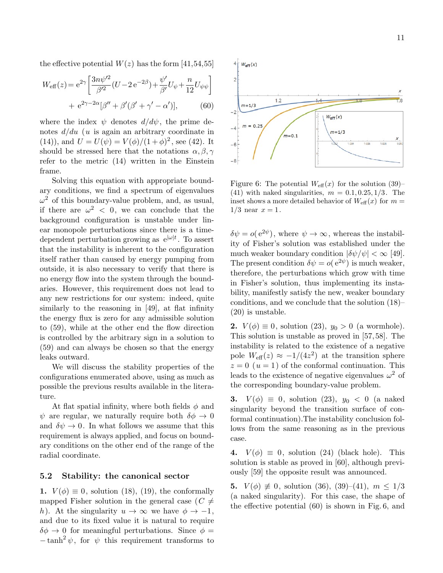the effective potential  $W(z)$  has the form [41,54,55]

$$
W_{\text{eff}}(z) = e^{2\gamma} \left[ \frac{3n\psi'^2}{\beta'^2} (U - 2 e^{-2\beta}) + \frac{\psi'}{\beta'} U_{\psi} + \frac{n}{12} U_{\psi\psi} \right] + e^{2\gamma - 2\alpha} [\beta'' + \beta'(\beta' + \gamma' - \alpha')], \tag{60}
$$

where the index  $\psi$  denotes  $d/d\psi$ , the prime denotes  $d/du$  (*u* is again an arbitrary coordinate in (14)), and  $U = U(\psi) = V(\phi)/(1 + \phi)^2$ , see (42). It should be stressed here that the notations  $\alpha, \beta, \gamma$ refer to the metric (14) written in the Einstein frame.

Solving this equation with appropriate boundary conditions, we find a spectrum of eigenvalues  $\omega^2$  of this boundary-value problem, and, as usual, if there are  $\omega^2$  < 0, we can conclude that the background configuration is unstable under linear monopole perturbations since there is a timedependent perturbation growing as  $e^{|\omega|t}$ . To assert that the instability is inherent to the configuration itself rather than caused by energy pumping from outside, it is also necessary to verify that there is no energy flow into the system through the boundaries. However, this requirement does not lead to any new restrictions for our system: indeed, quite similarly to the reasoning in [49], at flat infinity the energy flux is zero for any admissible solution to (59), while at the other end the flow direction is controlled by the arbitrary sign in a solution to (59) and can always be chosen so that the energy leaks outward.

We will discuss the stability properties of the configurations enumerated above, using as much as possible the previous results available in the literature.

At flat spatial infinity, where both fields  $\phi$  and  $\psi$  are regular, we naturally require both  $\delta\phi \to 0$ and  $\delta \psi \to 0$ . In what follows we assume that this requirement is always applied, and focus on boundary conditions on the other end of the range of the radial coordinate.

#### 5.2 Stability: the canonical sector

1.  $V(\phi) \equiv 0$ , solution (18), (19), the conformally mapped Fisher solution in the general case ( $C \neq$ h). At the singularity  $u \to \infty$  we have  $\phi \to -1$ , and due to its fixed value it is natural to require  $\delta\phi \rightarrow 0$  for meaningful perturbations. Since  $\phi =$  $-\tanh^2 \psi$ , for  $\psi$  this requirement transforms to



Figure 6: The potential  $W_{\text{eff}}(x)$  for the solution (39)– (41) with naked singularities,  $m = 0.1, 0.25, 1/3$ . The inset shows a more detailed behavior of  $W_{\text{eff}}(x)$  for  $m =$  $1/3$  near  $x = 1$ .

 $\delta\psi = o(e^{2\psi})$ , where  $\psi \to \infty$ , whereas the instability of Fisher's solution was established under the much weaker boundary condition  $|\delta\psi/\psi| < \infty$  [49]. The present condition  $\delta \psi = o(e^{2\psi})$  is much weaker, therefore, the perturbations which grow with time in Fisher's solution, thus implementing its instability, manifestly satisfy the new, weaker boundary conditions, and we conclude that the solution (18)– (20) is unstable.

**2.**  $V(\phi) \equiv 0$ , solution (23),  $y_0 > 0$  (a wormhole). This solution is unstable as proved in [57, 58]. The instability is related to the existence of a negative pole  $W_{\text{eff}}(z) \approx -1/(4z^2)$  at the transition sphere  $z = 0$   $(u = 1)$  of the conformal continuation. This leads to the existence of negative eigenvalues  $\omega^2$  of the corresponding boundary-value problem.

**3.**  $V(\phi) \equiv 0$ , solution (23),  $y_0 < 0$  (a naked singularity beyond the transition surface of conformal continuation).The instability conclusion follows from the same reasoning as in the previous case.

4.  $V(\phi) \equiv 0$ , solution (24) (black hole). This solution is stable as proved in [60], although previously [59] the opposite result was announced.

5.  $V(\phi) \neq 0$ , solution (36), (39)–(41),  $m \leq 1/3$ (a naked singularity). For this case, the shape of the effective potential (60) is shown in Fig. 6, and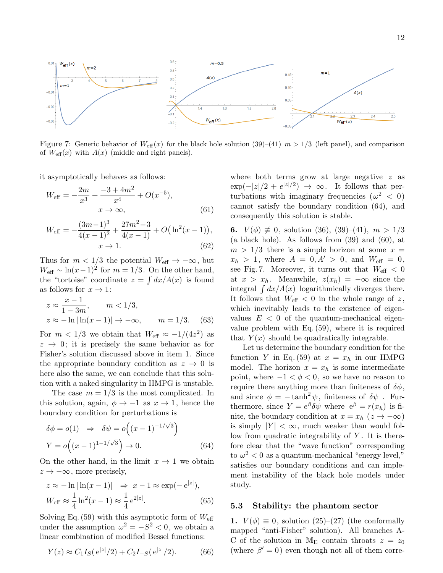

Figure 7: Generic behavior of  $W_{\text{eff}}(x)$  for the black hole solution (39)–(41)  $m > 1/3$  (left panel), and comparison of  $W_{\text{eff}}(x)$  with  $A(x)$  (middle and right panels).

it asymptotically behaves as follows:

$$
W_{\text{eff}} = -\frac{2m}{x^3} + \frac{-3 + 4m^2}{x^4} + O(x^{-5}),
$$
  

$$
x \to \infty,
$$
 (61)

$$
W_{\text{eff}} = -\frac{(3m-1)^3}{4(x-1)^2} + \frac{27m^2 - 3}{4(x-1)} + O\left(\ln^2(x-1)\right),
$$
  

$$
x \to 1.
$$
 (62)

Thus for  $m < 1/3$  the potential  $W_{\text{eff}} \rightarrow -\infty$ , but  $W_{\text{eff}} \sim \ln(x-1)^2$  for  $m = 1/3$ . On the other hand, the "tortoise" coordinate  $z = \int dx/A(x)$  is found as follows for  $x \to 1$ :

$$
z \approx \frac{x-1}{1-3m}, \qquad m < 1/3,
$$
  
\n
$$
z \approx -\ln|\ln(x-1)| \to -\infty, \qquad m = 1/3. \tag{63}
$$

For  $m < 1/3$  we obtain that  $W_{\text{eff}} \approx -1/(4z^2)$  as  $z \rightarrow 0$ ; it is precisely the same behavior as for Fisher's solution discussed above in item 1. Since the appropriate boundary condition as  $z \to 0$  is here also the same, we can conclude that this solution with a naked singularity in HMPG is unstable.

The case  $m = 1/3$  is the most complicated. In this solution, again,  $\phi \rightarrow -1$  as  $x \rightarrow 1$ , hence the boundary condition for perturbations is

$$
\delta\phi = o(1) \Rightarrow \delta\psi = o\left((x-1)^{-1/\sqrt{3}}\right)
$$

$$
Y = o\left((x-1)^{1-1/\sqrt{3}}\right) \to 0.
$$
(64)

On the other hand, in the limit  $x \to 1$  we obtain  $z \rightarrow -\infty$ , more precisely,

$$
z \approx -\ln|\ln(x-1)| \Rightarrow x - 1 \approx \exp(-e^{|z|}),
$$
  
\n
$$
W_{\text{eff}} \approx \frac{1}{4}\ln^2(x-1) \approx \frac{1}{4}e^{2|z|}.
$$
 (65)

Solving Eq.  $(59)$  with this asymptotic form of  $W_{\text{eff}}$ under the assumption  $\omega^2 = -S^2 < 0$ , we obtain a linear combination of modified Bessel functions:

$$
Y(z) \approx C_1 I_S(e^{|z|}/2) + C_2 I_{-S}(e^{|z|}/2). \tag{66}
$$

where both terms grow at large negative  $z$  as  $\exp(-|z|/2 + e^{|z|/2}) \rightarrow \infty$ . It follows that perturbations with imaginary frequencies  $(\omega^2 < 0)$ cannot satisfy the boundary condition (64), and consequently this solution is stable.

6.  $V(\phi) \neq 0$ , solution (36), (39)–(41),  $m > 1/3$ (a black hole). As follows from (39) and (60), at  $m > 1/3$  there is a simple horizon at some  $x =$  $x_h > 1$ , where  $A = 0, A' > 0$ , and  $W_{\text{eff}} = 0$ , see Fig. 7. Moreover, it turns out that  $W_{\text{eff}} < 0$ at  $x > x_h$ . Meanwhile,  $z(x_h) = -\infty$  since the integral  $\int dx/A(x)$  logarithmically diverges there. It follows that  $W_{\text{eff}} < 0$  in the whole range of z, which inevitably leads to the existence of eigenvalues  $E < 0$  of the quantum-mechanical eigenvalue problem with Eq. (59), where it is required that  $Y(x)$  should be quadratically integrable.

Let us determine the boundary condition for the function Y in Eq. (59) at  $x = x_h$  in our HMPG model. The horizon  $x = x_h$  is some intermediate point, where  $-1 < \phi < 0$ , so we have no reason to require there anything more than finiteness of  $\delta\phi$ , and since  $\phi = -\tanh^2 \psi$ , finiteness of  $\delta \psi$ . Furthermore, since  $Y = e^{\beta} \delta \psi$  where  $e^{\beta} = r(x_h)$  is finite, the boundary condition at  $x = x_h$  ( $z \to -\infty$ ) is simply  $|Y| < \infty$ , much weaker than would follow from quadratic integrability of  $Y$ . It is therefore clear that the "wave function" corresponding to  $\omega^2$  < 0 as a quantum-mechanical "energy level," satisfies our boundary conditions and can implement instability of the black hole models under study.

#### 5.3 Stability: the phantom sector

1.  $V(\phi) \equiv 0$ , solution (25)–(27) (the conformally mapped "anti-Fisher" solution). All branches A-C of the solution in M<sub>E</sub> contain throats  $z = z_0$ (where  $\beta' = 0$ ) even though not all of them corre-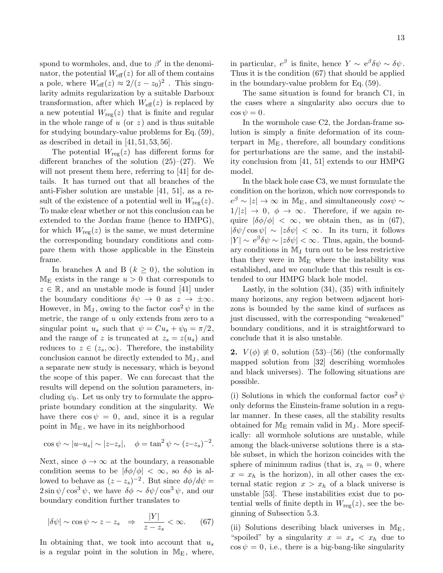spond to wormholes, and, due to  $\beta'$  in the denominator, the potential  $W_{\text{eff}}(z)$  for all of them contains a pole, where  $W_{\text{eff}}(z) \approx 2/(z-z_0)^2$ . This singularity admits regularization by a suitable Darboux transformation, after which  $W_{\text{eff}}(z)$  is replaced by a new potential  $W_{\text{reg}}(z)$  that is finite and regular in the whole range of  $u$  (or  $z$ ) and is thus suitable for studying boundary-value problems for Eq. (59), as described in detail in  $[41, 51, 53, 56]$ .

The potential  $W_{\text{reg}}(z)$  has different forms for different branches of the solution  $(25)-(27)$ . We will not present them here, referring to [41] for details. It has turned out that all branches of the anti-Fisher solution are unstable [41, 51], as a result of the existence of a potential well in  $W_{reg}(z)$ . To make clear whether or not this conclusion can be extended to the Jordan frame (hence to HMPG), for which  $W_{reg}(z)$  is the same, we must determine the corresponding boundary conditions and compare them with those applicable in the Einstein frame.

In branches A and B  $(k \geq 0)$ , the solution in  $M<sub>E</sub>$  exists in the range  $u > 0$  that corresponds to  $z \in \mathbb{R}$ , and an unstable mode is found [41] under the boundary conditions  $\delta \psi \to 0$  as  $z \to \pm \infty$ . However, in  $\mathbb{M}_I$ , owing to the factor  $\cos^2 \psi$  in the metric, the range of  $u$  only extends from zero to a singular point  $u_s$  such that  $\psi = Cu_s + \psi_0 = \pi/2$ , and the range of z is truncated at  $z_s = z(u_s)$  and reduces to  $z \in (z_s, \infty)$ . Therefore, the instability conclusion cannot be directly extended to M<sup>J</sup> , and a separate new study is necessary, which is beyond the scope of this paper. We can forecast that the results will depend on the solution parameters, including  $\psi_0$ . Let us only try to formulate the appropriate boundary condition at the singularity. We have there  $\cos \psi = 0$ , and, since it is a regular point in  $M_E$ , we have in its neighborhood

$$
\cos \psi \sim |u - u_s| \sim |z - z_s|, \quad \phi = \tan^2 \psi \sim (z - z_s)^{-2}.
$$

Next, since  $\phi \to \infty$  at the boundary, a reasonable condition seems to be  $|\delta\phi/\phi| < \infty$ , so  $\delta\phi$  is allowed to behave as  $(z - z_s)^{-2}$ . But since  $d\phi/d\psi =$  $2\sin\psi/\cos^3\psi$ , we have  $\delta\phi \sim \delta\psi/\cos^3\psi$ , and our boundary condition further translates to

$$
|\delta\psi| \sim \cos\psi \sim z - z_s \quad \Rightarrow \quad \frac{|Y|}{z - z_s} < \infty. \tag{67}
$$

In obtaining that, we took into account that  $u_s$ is a regular point in the solution in  $M_E$ , where,

in particular,  $e^{\beta}$  is finite, hence  $Y \sim e^{\beta} \delta \psi \sim \delta \psi$ . Thus it is the condition (67) that should be applied in the boundary-value problem for Eq. (59).

The same situation is found for branch C1, in the cases where a singularity also occurs due to  $\cos \psi = 0.$ 

In the wormhole case C2, the Jordan-frame solution is simply a finite deformation of its counterpart in  $M_E$ , therefore, all boundary conditions for perturbations are the same, and the instability conclusion from [41, 51] extends to our HMPG model.

In the black hole case C3, we must formulate the condition on the horizon, which now corresponds to  $e^{\beta} \sim |z| \to \infty$  in M<sub>E</sub>, and simultaneously  $\cos \psi \sim$  $1/|z| \rightarrow 0, \phi \rightarrow \infty$ . Therefore, if we again require  $|\delta\phi/\phi| < \infty$ , we obtain then, as in (67),  $|\delta\psi/\cos\psi| \sim |z\delta\psi| < \infty$ . In its turn, it follows  $|Y| \sim e^{\beta} \delta \psi \sim |z \delta \psi| < \infty$ . Thus, again, the boundary conditions in  $M_J$  turn out to be less restrictive than they were in  $M<sub>E</sub>$  where the instability was established, and we conclude that this result is extended to our HMPG black hole model.

Lastly, in the solution  $(34)$ ,  $(35)$  with infinitely many horizons, any region between adjacent horizons is bounded by the same kind of surfaces as just discussed, with the corresponding "weakened" boundary conditions, and it is straightforward to conclude that it is also unstable.

**2.**  $V(\phi) \neq 0$ , solution (53)–(56) (the conformally mapped solution from [32] describing wormholes and black universes). The following situations are possible.

(i) Solutions in which the conformal factor  $\cos^2 \psi$ only deforms the Einstein-frame solution in a regular manner. In these cases, all the stability results obtained for  $M_E$  remain valid in  $M_J$ . More specifically: all wormhole solutions are unstable, while among the black-universe solutions there is a stable subset, in which the horizon coincides with the sphere of minimum radius (that is,  $x_h = 0$ , where  $x = x_h$  is the horizon), in all other cases the external static region  $x > x_h$  of a black universe is unstable [53]. These instabilities exist due to potential wells of finite depth in  $W_{reg}(z)$ , see the beginning of Subsection 5.3.

(ii) Solutions describing black universes in  $M_E$ , "spoiled" by a singularity  $x = x_s < x_h$  due to  $\cos \psi = 0$ , i.e., there is a big-bang-like singularity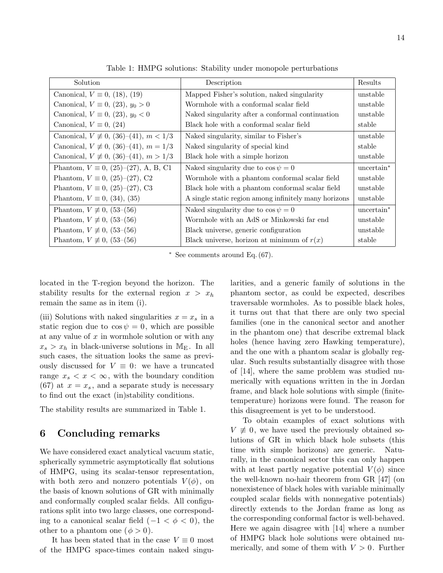| Solution                                           | Description                                           | Results                |
|----------------------------------------------------|-------------------------------------------------------|------------------------|
| Canonical, $V \equiv 0, (18), (19)$                | Mapped Fisher's solution, naked singularity           | unstable               |
| Canonical, $V \equiv 0$ , (23), $y_0 > 0$          | Wormhole with a conformal scalar field                | unstable               |
| Canonical, $V \equiv 0$ , (23), $y_0 < 0$          | Naked singularity after a conformal continuation      | unstable               |
| Canonical, $V \equiv 0$ , (24)                     | Black hole with a conformal scalar field              | stable                 |
| Canonical, $V \neq 0$ , (36)–(41), $m < 1/3$       | Naked singularity, similar to Fisher's                | unstable               |
| Canonical, $V \not\equiv 0$ , (36)–(41), $m = 1/3$ | Naked singularity of special kind                     | stable                 |
| Canonical, $V \not\equiv 0$ , (36)–(41), $m > 1/3$ | Black hole with a simple horizon                      | unstable               |
| Phantom, $V \equiv 0$ , (25)–(27), A, B, C1        | Naked singularity due to $\cos \psi = 0$              | uncertain <sup>*</sup> |
| Phantom, $V \equiv 0$ , (25)–(27), C2              | Wormhole with a phantom conformal scalar field        | unstable               |
| Phantom, $V \equiv 0$ , (25)–(27), C3              | Black hole with a phantom conformal scalar field      | unstable               |
| Phantom, $V \equiv 0, (34), (35)$                  | A single static region among infinitely many horizons | unstable               |
| Phantom, $V \not\equiv 0$ , (53–(56)               | Naked singularity due to $\cos \psi = 0$              | uncertain*             |
| Phantom, $V \not\equiv 0$ , (53–(56)               | Wormhole with an AdS or Minkowski far end             | unstable               |
| Phantom, $V \not\equiv 0$ , (53–(56)               | Black universe, generic configuration                 | unstable               |
| Phantom, $V \not\equiv 0$ , (53–(56)               | Black universe, horizon at minimum of $r(x)$          | stable                 |

Table 1: HMPG solutions: Stability under monopole perturbations

<sup>∗</sup> See comments around Eq. (67).

located in the T-region beyond the horizon. The stability results for the external region  $x > x_h$ remain the same as in item (i).

(iii) Solutions with naked singularities  $x = x_s$  in a static region due to  $\cos \psi = 0$ , which are possible at any value of  $x$  in wormhole solution or with any  $x_s > x_h$  in black-universe solutions in M<sub>E</sub>. In all such cases, the situation looks the same as previously discussed for  $V \equiv 0$ : we have a truncated range  $x_s < x < \infty$ , with the boundary condition (67) at  $x = x_s$ , and a separate study is necessary to find out the exact (in)stability conditions.

The stability results are summarized in Table 1.

### 6 Concluding remarks

We have considered exact analytical vacuum static, spherically symmetric asymptotically flat solutions of HMPG, using its scalar-tensor representation, with both zero and nonzero potentials  $V(\phi)$ , on the basis of known solutions of GR with minimally and conformally coupled scalar fields. All configurations split into two large classes, one corresponding to a canonical scalar field  $(-1 < \phi < 0)$ , the other to a phantom one ( $\phi > 0$ ).

It has been stated that in the case  $V \equiv 0$  most of the HMPG space-times contain naked singularities, and a generic family of solutions in the phantom sector, as could be expected, describes traversable wormholes. As to possible black holes, it turns out that that there are only two special families (one in the canonical sector and another in the phantom one) that describe extremal black holes (hence having zero Hawking temperature), and the one with a phantom scalar is globally regular. Such results substantially disagree with those of [14], where the same problem was studied numerically with equations written in the in Jordan frame, and black hole solutions with simple (finitetemperature) horizons were found. The reason for this disagreement is yet to be understood.

To obtain examples of exact solutions with  $V \neq 0$ , we have used the previously obtained solutions of GR in which black hole subsets (this time with simple horizons) are generic. Naturally, in the canonical sector this can only happen with at least partly negative potential  $V(\phi)$  since the well-known no-hair theorem from GR [47] (on nonexistence of black holes with variable minimally coupled scalar fields with nonnegative potentials) directly extends to the Jordan frame as long as the corresponding conformal factor is well-behaved. Here we again disagree with [14] where a number of HMPG black hole solutions were obtained numerically, and some of them with  $V > 0$ . Further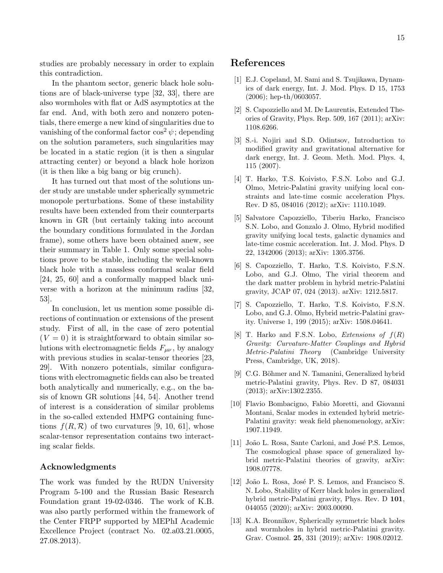studies are probably necessary in order to explain this contradiction.

In the phantom sector, generic black hole solutions are of black-universe type [32, 33], there are also wormholes with flat or AdS asymptotics at the far end. And, with both zero and nonzero potentials, there emerge a new kind of singularities due to vanishing of the conformal factor  $\cos^2 \psi$ ; depending on the solution parameters, such singularities may be located in a static region (it is then a singular attracting center) or beyond a black hole horizon (it is then like a big bang or big crunch).

It has turned out that most of the solutions under study are unstable under spherically symmetric monopole perturbations. Some of these instability results have been extended from their counterparts known in GR (but certainly taking into account the boundary conditions formulated in the Jordan frame), some others have been obtained anew, see their summary in Table 1. Only some special solutions prove to be stable, including the well-known black hole with a massless conformal scalar field [24, 25, 60] and a conformally mapped black universe with a horizon at the minimum radius [32, 53].

In conclusion, let us mention some possible directions of continuation or extensions of the present study. First of all, in the case of zero potential  $(V = 0)$  it is straightforward to obtain similar solutions with electromagnetic fields  $F_{\mu\nu}$ , by analogy with previous studies in scalar-tensor theories [23, 29]. With nonzero potentials, similar configurations with electromagnetic fields can also be treated both analytically and numerically, e.g., on the basis of known GR solutions [44, 54]. Another trend of interest is a consideration of similar problems in the so-called extended HMPG containing functions  $f(R, \mathcal{R})$  of two curvatures [9, 10, 61], whose scalar-tensor representation contains two interacting scalar fields.

#### Acknowledgments

The work was funded by the RUDN University Program 5-100 and the Russian Basic Research Foundation grant 19-02-0346. The work of K.B. was also partly performed within the framework of the Center FRPP supported by MEPhI Academic Excellence Project (contract No. 02.a03.21.0005, 27.08.2013).

## References

- [1] E.J. Copeland, M. Sami and S. Tsujikawa, Dynamics of dark energy, Int. J. Mod. Phys. D 15, 1753 (2006); hep-th/0603057.
- [2] S. Capozziello and M. De Laurentis, Extended Theories of Gravity, Phys. Rep. 509, 167 (2011); arXiv: 1108.6266.
- [3] S.-i. Nojiri and S.D. Odintsov, Introduction to modified gravity and gravitational alternative for dark energy, Int. J. Geom. Meth. Mod. Phys. 4, 115 (2007).
- [4] T. Harko, T.S. Koivisto, F.S.N. Lobo and G.J. Olmo, Metric-Palatini gravity unifying local constraints and late-time cosmic acceleration Phys. Rev. D 85, 084016 (2012); arXiv: 1110.1049.
- [5] Salvatore Capozziello, Tiberiu Harko, Francisco S.N. Lobo, and Gonzalo J. Olmo, Hybrid modified gravity unifying local tests, galactic dynamics and late-time cosmic acceleration. Int. J. Mod. Phys. D 22, 1342006 (2013); arXiv: 1305.3756.
- [6] S. Capozziello, T. Harko, T.S. Koivisto, F.S.N. Lobo, and G.J. Olmo, The virial theorem and the dark matter problem in hybrid metric-Palatini gravity, JCAP 07, 024 (2013). arXiv: 1212.5817.
- [7] S. Capozziello, T. Harko, T.S. Koivisto, F.S.N. Lobo, and G.J. Olmo, Hybrid metric-Palatini gravity. Universe 1, 199 (2015); arXiv: 1508.04641.
- [8] T. Harko and F.S.N. Lobo, *Extensions of*  $f(R)$ Gravity: Curvature-Matter Couplings and Hybrid Metric-Palatini Theory (Cambridge University Press, Cambridge, UK, 2018).
- [9] C.G. Böhmer and N. Tamanini, Generalized hybrid metric-Palatini gravity, Phys. Rev. D 87, 084031 (2013); arXiv:1302.2355.
- [10] Flavio Bombacigno, Fabio Moretti, and Giovanni Montani, Scalar modes in extended hybrid metric-Palatini gravity: weak field phenomenology, arXiv: 1907.11949.
- [11] João L. Rosa, Sante Carloni, and José P.S. Lemos, The cosmological phase space of generalized hybrid metric-Palatini theories of gravity, arXiv: 1908.07778.
- [12] João L. Rosa, José P. S. Lemos, and Francisco S. N. Lobo, Stability of Kerr black holes in generalized hybrid metric-Palatini gravity, Phys. Rev. D 101, 044055 (2020); arXiv: 2003.00090.
- [13] K.A. Bronnikov, Spherically symmetric black holes and wormholes in hybrid metric-Palatini gravity. Grav. Cosmol. 25, 331 (2019); arXiv: 1908.02012.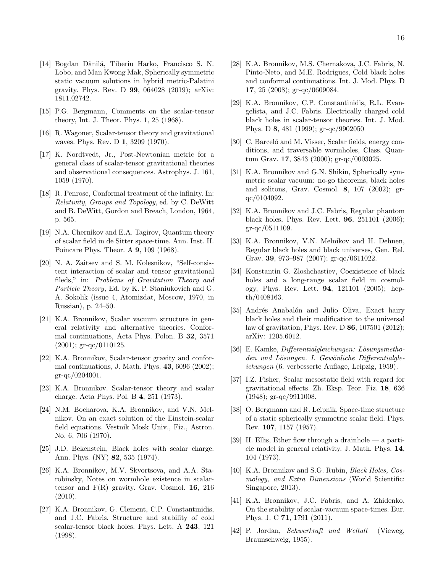- [14] Bogdan Dǎnilǎ, Tiberiu Harko, Francisco S. N. Lobo, and Man Kwong Mak, Spherically symmetric static vacuum solutions in hybrid metric-Palatini gravity. Phys. Rev. D 99, 064028 (2019); arXiv: 1811.02742.
- [15] P.G. Bergmann, Comments on the scalar-tensor theory, Int. J. Theor. Phys. 1, 25 (1968).
- [16] R. Wagoner, Scalar-tensor theory and gravitational waves. Phys. Rev. D 1, 3209 (1970).
- [17] K. Nordtvedt, Jr., Post-Newtonian metric for a general class of scalar-tensor gravitational theories and observational consequences. Astrophys. J. 161, 1059 (1970).
- [18] R. Penrose, Conformal treatment of the infinity. In: Relativity, Groups and Topology, ed. by C. DeWitt and B. DeWitt, Gordon and Breach, London, 1964, p. 565.
- [19] N.A. Chernikov and E.A. Tagirov, Quantum theory of scalar field in de Sitter space-time. Ann. Inst. H. Poincare Phys. Theor. A 9, 109 (1968).
- [20] N. A. Zaitsev and S. M. Kolesnikov, "Self-consistent interaction of scalar and tensor gravitational fileds," in: Problems of Gravitation Theory and Particle Theory, Ed. by K. P. Staniukovich and G. A. Sokolik (issue 4, Atomizdat, Moscow, 1970, in Russian), p. 24–50.
- [21] K.A. Bronnikov, Scalar vacuum structure in general relativity and alternative theories. Conformal continuations, Acta Phys. Polon. B 32, 3571 (2001); gr-qc/0110125.
- [22] K.A. Bronnikov, Scalar-tensor gravity and conformal continuations, J. Math. Phys. 43, 6096 (2002); gr-qc/0204001.
- [23] K.A. Bronnikov. Scalar-tensor theory and scalar charge. Acta Phys. Pol. B 4, 251 (1973).
- [24] N.M. Bocharova, K.A. Bronnikov, and V.N. Melnikov. On an exact solution of the Einstein-scalar field equations. Vestnik Mosk Univ., Fiz., Astron. No. 6, 706 (1970).
- [25] J.D. Bekenstein, Black holes with scalar charge. Ann. Phys. (NY) 82, 535 (1974).
- [26] K.A. Bronnikov, M.V. Skvortsova, and A.A. Starobinsky, Notes on wormhole existence in scalartensor and  $F(R)$  gravity. Grav. Cosmol. 16, 216 (2010).
- [27] K.A. Bronnikov, G. Clement, C.P. Constantinidis, and J.C. Fabris. Structure and stability of cold scalar-tensor black holes. Phys. Lett. A 243, 121 (1998).
- [28] K.A. Bronnikov, M.S. Chernakova, J.C. Fabris, N. Pinto-Neto, and M.E. Rodrigues, Cold black holes and conformal continuations. Int. J. Mod. Phys. D 17, 25 (2008); gr-qc/0609084.
- [29] K.A. Bronnikov, C.P. Constantinidis, R.L. Evangelista, and J.C. Fabris. Electrically charged cold black holes in scalar-tensor theories. Int. J. Mod. Phys. D 8, 481 (1999); gr-qc/9902050
- [30] C. Barceló and M. Visser, Scalar fields, energy conditions, and traversable wormholes, Class. Quantum Grav. 17, 3843 (2000); gr-qc/0003025.
- [31] K.A. Bronnikov and G.N. Shikin, Spherically symmetric scalar vacuum: no-go theorems, black holes and solitons, Grav. Cosmol. 8, 107 (2002); grqc/0104092.
- [32] K.A. Bronnikov and J.C. Fabris, Regular phantom black holes, Phys. Rev. Lett. 96, 251101 (2006);  $gr-qc/0511109.$
- [33] K.A. Bronnikov, V.N. Melnikov and H. Dehnen, Regular black holes and black universes, Gen. Rel. Grav. 39, 973–987 (2007); gr-qc/0611022.
- [34] Konstantin G. Zloshchastiev, Coexistence of black holes and a long-range scalar field in cosmology, Phys. Rev. Lett. 94, 121101 (2005); hepth/0408163.
- [35] Andrés Anabalón and Julio Oliva, Exact hairy black holes and their modification to the universal law of gravitation, Phys. Rev. D 86, 107501 (2012); arXiv: 1205.6012.
- [36] E. Kamke, *Differentialgleichungen: Lösungsmetho*den und Lösungen. I. Gewönliche Differentialgleichungen (6. verbesserte Auflage, Leipzig, 1959).
- [37] I.Z. Fisher, Scalar mesostatic field with regard for gravitational effects. Zh. Eksp. Teor. Fiz. 18, 636 (1948); gr-qc/9911008.
- [38] O. Bergmann and R. Leipnik, Space-time structure of a static spherically symmetric scalar field. Phys. Rev. 107, 1157 (1957).
- [39] H. Ellis, Ether flow through a drainhole a particle model in general relativity. J. Math. Phys. 14, 104 (1973).
- [40] K.A. Bronnikov and S.G. Rubin, Black Holes, Cosmology, and Extra Dimensions (World Scientific: Singapore, 2013).
- [41] K.A. Bronnikov, J.C. Fabris, and A. Zhidenko, On the stability of scalar-vacuum space-times. Eur. Phys. J. C 71, 1791 (2011).
- [42] P. Jordan, Schwerkraft und Weltall (Vieweg, Braunschweig, 1955).